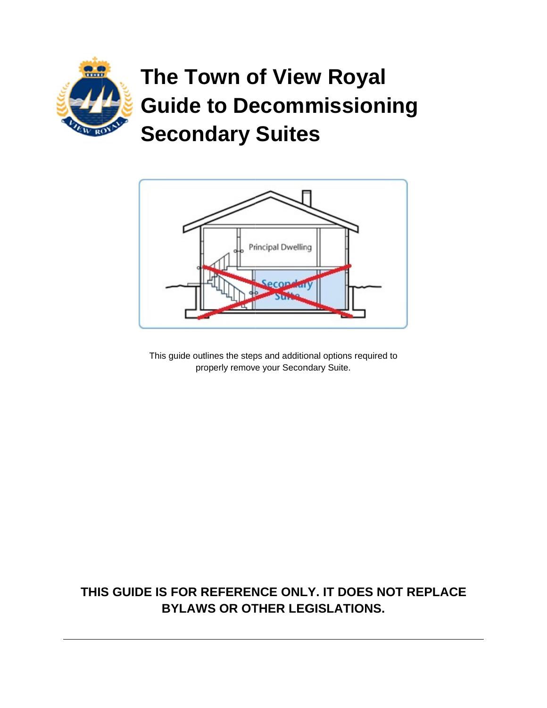

# The Town of View Royal **Guide to Decommissioning Secondary Suites**



This guide outlines the steps and additional options required to properly remove your Secondary Suite.

### THIS GUIDE IS FOR REFERENCE ONLY. IT DOES NOT REPLACE **BYLAWS OR OTHER LEGISLATIONS.**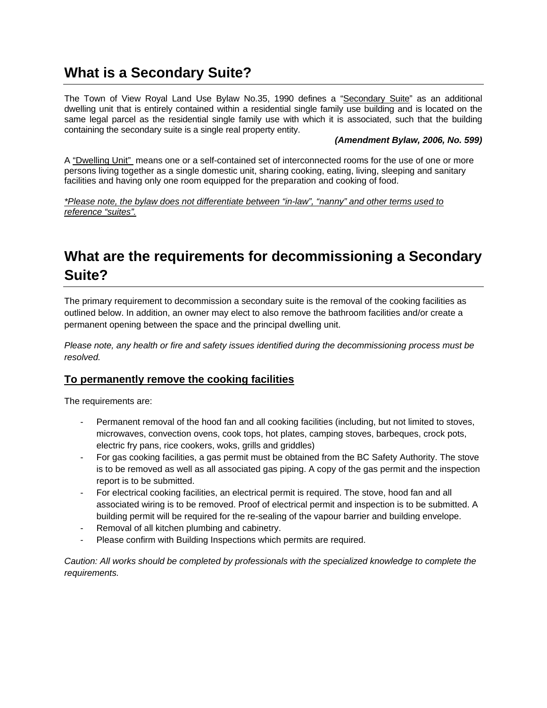# **What is a Secondary Suite?**

The Town of View Royal Land Use Bylaw No.35, 1990 defines a "Secondary Suite" as an additional dwelling unit that is entirely contained within a residential single family use building and is located on the same legal parcel as the residential single family use with which it is associated, such that the building containing the secondary suite is a single real property entity.

#### *(Amendment Bylaw, 2006, No. 599)*

A "Dwelling Unit" means one or a self-contained set of interconnected rooms for the use of one or more persons living together as a single domestic unit, sharing cooking, eating, living, sleeping and sanitary facilities and having only one room equipped for the preparation and cooking of food.

*\*Please note, the bylaw does not differentiate between "in-law", "nanny" and other terms used to reference "suites".* 

# **What are the requirements for decommissioning a Secondary Suite?**

The primary requirement to decommission a secondary suite is the removal of the cooking facilities as outlined below. In addition, an owner may elect to also remove the bathroom facilities and/or create a permanent opening between the space and the principal dwelling unit.

*Please note, any health or fire and safety issues identified during the decommissioning process must be resolved.* 

#### **To permanently remove the cooking facilities**

The requirements are:

- Permanent removal of the hood fan and all cooking facilities (including, but not limited to stoves, microwaves, convection ovens, cook tops, hot plates, camping stoves, barbeques, crock pots, electric fry pans, rice cookers, woks, grills and griddles)
- For gas cooking facilities, a gas permit must be obtained from the BC Safety Authority. The stove is to be removed as well as all associated gas piping. A copy of the gas permit and the inspection report is to be submitted.
- For electrical cooking facilities, an electrical permit is required. The stove, hood fan and all associated wiring is to be removed. Proof of electrical permit and inspection is to be submitted. A building permit will be required for the re-sealing of the vapour barrier and building envelope.
- Removal of all kitchen plumbing and cabinetry.
- Please confirm with Building Inspections which permits are required.

*Caution: All works should be completed by professionals with the specialized knowledge to complete the requirements.*